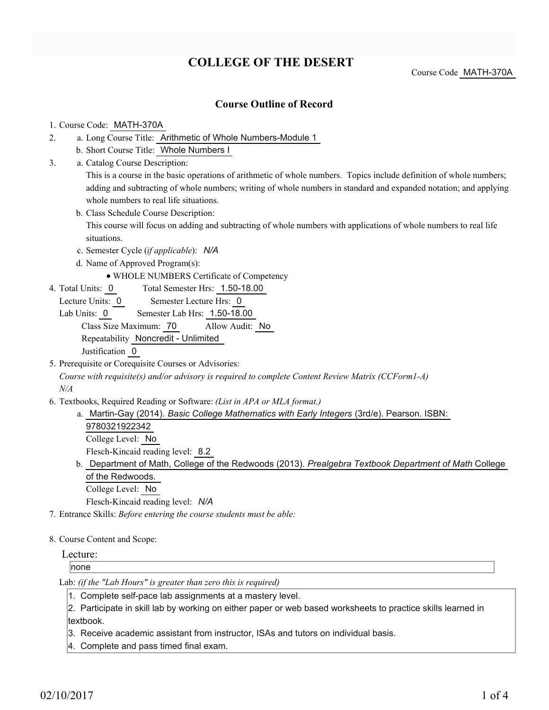## **COLLEGE OF THE DESERT**

Course Code MATH-370A

### **Course Outline of Record**

#### 1. Course Code: MATH-370A

- a. Long Course Title: Arithmetic of Whole Numbers-Module 1 2.
	- b. Short Course Title: Whole Numbers I
- Catalog Course Description: a. 3.

This is a course in the basic operations of arithmetic of whole numbers. Topics include definition of whole numbers; adding and subtracting of whole numbers; writing of whole numbers in standard and expanded notation; and applying whole numbers to real life situations.

b. Class Schedule Course Description:

This course will focus on adding and subtracting of whole numbers with applications of whole numbers to real life situations.

- c. Semester Cycle (*if applicable*): *N/A*
- d. Name of Approved Program(s):
	- WHOLE NUMBERS Certificate of Competency
- Total Semester Hrs: 1.50-18.00 4. Total Units: 0
- Lecture Units: 0 Semester Lecture Hrs: 0
- Lab Units: 0 Semester Lab Hrs: 1.50-18.00 Class Size Maximum: 70 Allow Audit: No Repeatability Noncredit - Unlimited Justification 0
- 5. Prerequisite or Corequisite Courses or Advisories:

*Course with requisite(s) and/or advisory is required to complete Content Review Matrix (CCForm1-A) N/A*

- Textbooks, Required Reading or Software: *(List in APA or MLA format.)* 6.
	- a. Martin-Gay (2014). *Basic College Mathematics with Early Integers* (3rd/e). Pearson. ISBN: 9780321922342 College Level: No

Flesch-Kincaid reading level: 8.2

b. Department of Math, College of the Redwoods (2013). *Prealgebra Textbook Department of Math* College of the Redwoods.

College Level: No

Flesch-Kincaid reading level: *N/A*

- 7. Entrance Skills: *Before entering the course students must be able:*
- 8. Course Content and Scope:

Lecture:

none

Lab: *(if the "Lab Hours" is greater than zero this is required)*

1. Complete self-pace lab assignments at a mastery level.

2. Participate in skill lab by working on either paper or web based worksheets to practice skills learned in textbook.

3. Receive academic assistant from instructor, ISAs and tutors on individual basis.

4. Complete and pass timed final exam.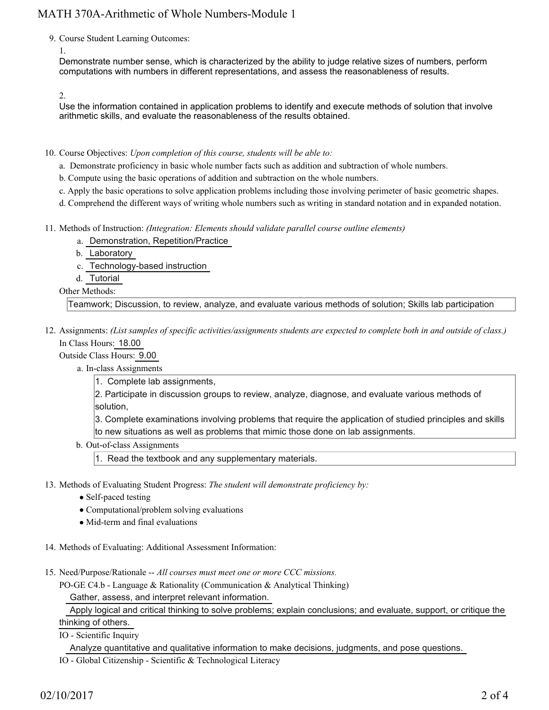9. Course Student Learning Outcomes:

1.

Demonstrate number sense, which is characterized by the ability to judge relative sizes of numbers, perform computations with numbers in different representations, and assess the reasonableness of results.

2.

Use the information contained in application problems to identify and execute methods of solution that involve arithmetic skills, and evaluate the reasonableness of the results obtained.

10. Course Objectives: Upon completion of this course, students will be able to:

- a. Demonstrate proficiency in basic whole number facts such as addition and subtraction of whole numbers.
- b. Compute using the basic operations of addition and subtraction on the whole numbers.
- c. Apply the basic operations to solve application problems including those involving perimeter of basic geometric shapes.
- d. Comprehend the different ways of writing whole numbers such as writing in standard notation and in expanded notation.
- Methods of Instruction: *(Integration: Elements should validate parallel course outline elements)* 11.
	- a. Demonstration, Repetition/Practice
	- b. Laboratory
	- c. Technology-based instruction
	- d. Tutorial

Other Methods:

Teamwork; Discussion, to review, analyze, and evaluate various methods of solution; Skills lab participation

12. Assignments: (List samples of specific activities/assignments students are expected to complete both in and outside of class.) In Class Hours: 18.00

Outside Class Hours: 9.00

a. In-class Assignments

1. Complete lab assignments,

2. Participate in discussion groups to review, analyze, diagnose, and evaluate various methods of solution,

3. Complete examinations involving problems that require the application of studied principles and skills to new situations as well as problems that mimic those done on lab assignments.

b. Out-of-class Assignments

1. Read the textbook and any supplementary materials.

- 13. Methods of Evaluating Student Progress: The student will demonstrate proficiency by:
	- Self-paced testing
	- Computational/problem solving evaluations
	- Mid-term and final evaluations
- 14. Methods of Evaluating: Additional Assessment Information:
- 15. Need/Purpose/Rationale -- All courses must meet one or more CCC missions.

PO-GE C4.b - Language & Rationality (Communication & Analytical Thinking) Gather, assess, and interpret relevant information.

Apply logical and critical thinking to solve problems; explain conclusions; and evaluate, support, or critique the

### thinking of others.

IO - Scientific Inquiry

Analyze quantitative and qualitative information to make decisions, judgments, and pose questions.

IO - Global Citizenship - Scientific & Technological Literacy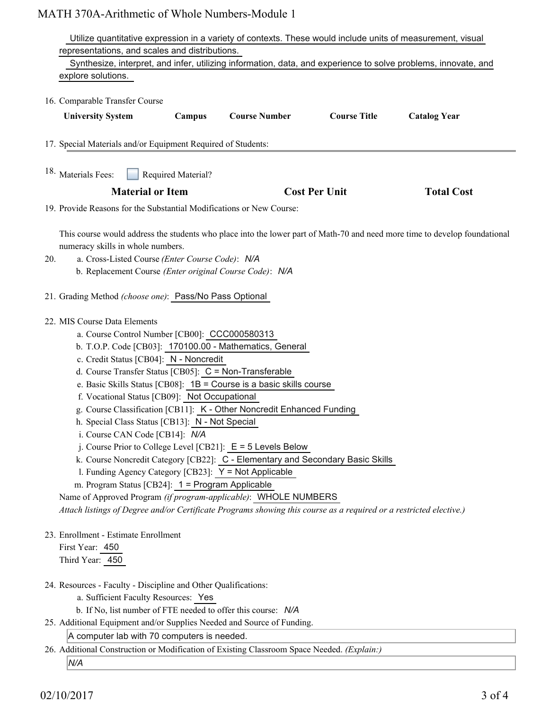# MATH 370A-Arithmetic of Whole Numbers-Module 1

| Utilize quantitative expression in a variety of contexts. These would include units of measurement, visual                                                                                                                                                                                                                                                                                                                                                                                                                                                                                                                    |                    |                                                                                                                                                                                                                                                                                                                                                              |                      |                     |
|-------------------------------------------------------------------------------------------------------------------------------------------------------------------------------------------------------------------------------------------------------------------------------------------------------------------------------------------------------------------------------------------------------------------------------------------------------------------------------------------------------------------------------------------------------------------------------------------------------------------------------|--------------------|--------------------------------------------------------------------------------------------------------------------------------------------------------------------------------------------------------------------------------------------------------------------------------------------------------------------------------------------------------------|----------------------|---------------------|
| representations, and scales and distributions.                                                                                                                                                                                                                                                                                                                                                                                                                                                                                                                                                                                |                    |                                                                                                                                                                                                                                                                                                                                                              |                      |                     |
| Synthesize, interpret, and infer, utilizing information, data, and experience to solve problems, innovate, and                                                                                                                                                                                                                                                                                                                                                                                                                                                                                                                |                    |                                                                                                                                                                                                                                                                                                                                                              |                      |                     |
| explore solutions.                                                                                                                                                                                                                                                                                                                                                                                                                                                                                                                                                                                                            |                    |                                                                                                                                                                                                                                                                                                                                                              |                      |                     |
| 16. Comparable Transfer Course                                                                                                                                                                                                                                                                                                                                                                                                                                                                                                                                                                                                |                    |                                                                                                                                                                                                                                                                                                                                                              |                      |                     |
| <b>University System</b>                                                                                                                                                                                                                                                                                                                                                                                                                                                                                                                                                                                                      | Campus             | <b>Course Number</b>                                                                                                                                                                                                                                                                                                                                         | <b>Course Title</b>  | <b>Catalog Year</b> |
| 17. Special Materials and/or Equipment Required of Students:                                                                                                                                                                                                                                                                                                                                                                                                                                                                                                                                                                  |                    |                                                                                                                                                                                                                                                                                                                                                              |                      |                     |
| <sup>18.</sup> Materials Fees:                                                                                                                                                                                                                                                                                                                                                                                                                                                                                                                                                                                                | Required Material? |                                                                                                                                                                                                                                                                                                                                                              |                      |                     |
| <b>Material or Item</b>                                                                                                                                                                                                                                                                                                                                                                                                                                                                                                                                                                                                       |                    |                                                                                                                                                                                                                                                                                                                                                              | <b>Cost Per Unit</b> | <b>Total Cost</b>   |
| 19. Provide Reasons for the Substantial Modifications or New Course:                                                                                                                                                                                                                                                                                                                                                                                                                                                                                                                                                          |                    |                                                                                                                                                                                                                                                                                                                                                              |                      |                     |
| This course would address the students who place into the lower part of Math-70 and need more time to develop foundational<br>numeracy skills in whole numbers.<br>a. Cross-Listed Course (Enter Course Code): N/A<br>20.<br>b. Replacement Course (Enter original Course Code): N/A                                                                                                                                                                                                                                                                                                                                          |                    |                                                                                                                                                                                                                                                                                                                                                              |                      |                     |
| 21. Grading Method (choose one): Pass/No Pass Optional                                                                                                                                                                                                                                                                                                                                                                                                                                                                                                                                                                        |                    |                                                                                                                                                                                                                                                                                                                                                              |                      |                     |
| 22. MIS Course Data Elements<br>a. Course Control Number [CB00]: CCC000580313<br>c. Credit Status [CB04]: N - Noncredit<br>d. Course Transfer Status [CB05]: C = Non-Transferable<br>f. Vocational Status [CB09]: Not Occupational<br>h. Special Class Status [CB13]: N - Not Special<br>i. Course CAN Code [CB14]: N/A<br>l. Funding Agency Category [CB23]: Y = Not Applicable<br>m. Program Status [CB24]: 1 = Program Applicable<br>Name of Approved Program (if program-applicable): WHOLE NUMBERS<br>Attach listings of Degree and/or Certificate Programs showing this course as a required or a restricted elective.) |                    | b. T.O.P. Code [CB03]: 170100.00 - Mathematics, General<br>e. Basic Skills Status [CB08]: $1B =$ Course is a basic skills course<br>g. Course Classification [CB11]: K - Other Noncredit Enhanced Funding<br>j. Course Prior to College Level [CB21]: $E = 5$ Levels Below<br>k. Course Noncredit Category [CB22]: C - Elementary and Secondary Basic Skills |                      |                     |
| 23. Enrollment - Estimate Enrollment<br>First Year: 450<br>Third Year: 450                                                                                                                                                                                                                                                                                                                                                                                                                                                                                                                                                    |                    |                                                                                                                                                                                                                                                                                                                                                              |                      |                     |
| 24. Resources - Faculty - Discipline and Other Qualifications:<br>a. Sufficient Faculty Resources: Yes<br>25. Additional Equipment and/or Supplies Needed and Source of Funding.<br>A computer lab with 70 computers is needed.                                                                                                                                                                                                                                                                                                                                                                                               |                    | b. If No, list number of FTE needed to offer this course: N/A                                                                                                                                                                                                                                                                                                |                      |                     |

26. Additional Construction or Modification of Existing Classroom Space Needed. (Explain:)

*N/A*